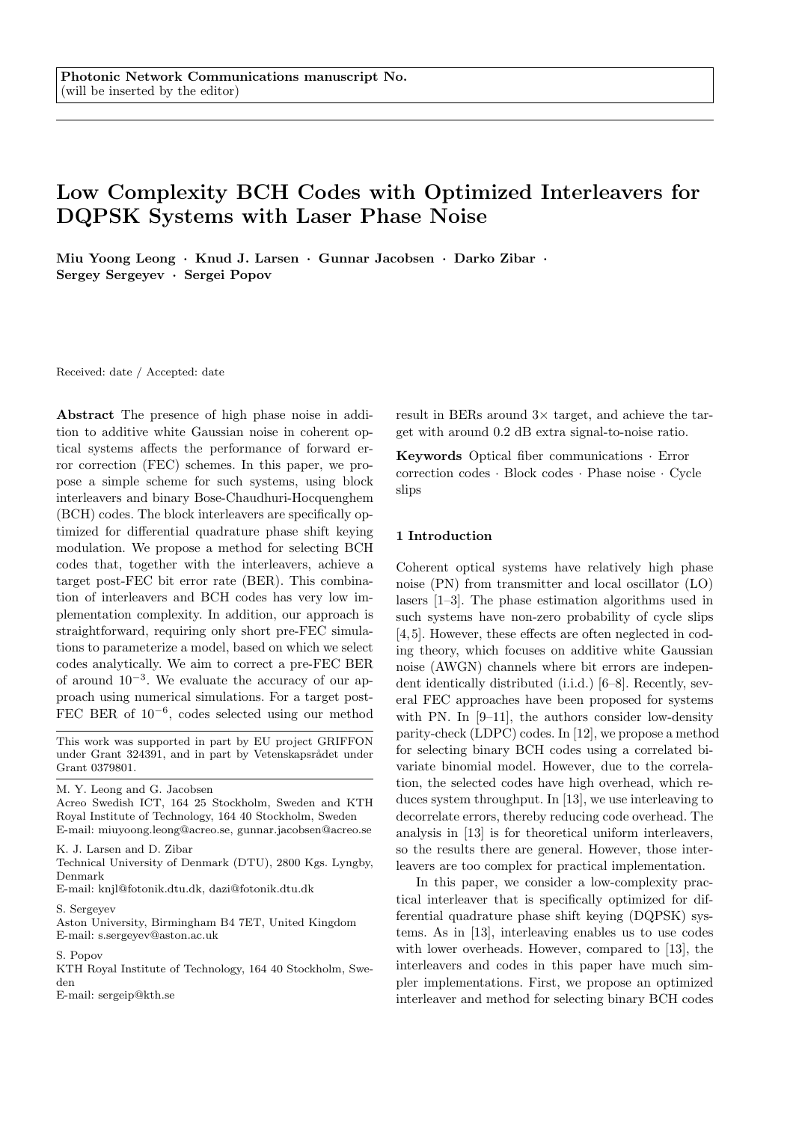# Low Complexity BCH Codes with Optimized Interleavers for DQPSK Systems with Laser Phase Noise

Miu Yoong Leong · Knud J. Larsen · Gunnar Jacobsen · Darko Zibar · Sergey Sergeyev · Sergei Popov

Received: date / Accepted: date

Abstract The presence of high phase noise in addition to additive white Gaussian noise in coherent optical systems affects the performance of forward error correction (FEC) schemes. In this paper, we propose a simple scheme for such systems, using block interleavers and binary Bose-Chaudhuri-Hocquenghem (BCH) codes. The block interleavers are specifically optimized for differential quadrature phase shift keying modulation. We propose a method for selecting BCH codes that, together with the interleavers, achieve a target post-FEC bit error rate (BER). This combination of interleavers and BCH codes has very low implementation complexity. In addition, our approach is straightforward, requiring only short pre-FEC simulations to parameterize a model, based on which we select codes analytically. We aim to correct a pre-FEC BER of around 10<sup>−</sup><sup>3</sup> . We evaluate the accuracy of our approach using numerical simulations. For a target post-FEC BER of 10<sup>−</sup><sup>6</sup> , codes selected using our method

This work was supported in part by EU project GRIFFON under Grant 324391, and in part by Vetenskapsrådet under Grant 0379801.

M. Y. Leong and G. Jacobsen

Acreo Swedish ICT, 164 25 Stockholm, Sweden and KTH Royal Institute of Technology, 164 40 Stockholm, Sweden E-mail: miuyoong.leong@acreo.se, gunnar.jacobsen@acreo.se

K. J. Larsen and D. Zibar

Technical University of Denmark (DTU), 2800 Kgs. Lyngby, Denmark

E-mail: knjl@fotonik.dtu.dk, dazi@fotonik.dtu.dk

S. Sergeyev

Aston University, Birmingham B4 7ET, United Kingdom E-mail: s.sergeyev@aston.ac.uk

#### S. Popov

KTH Royal Institute of Technology, 164 40 Stockholm, Sweden

E-mail: sergeip@kth.se

result in BERs around  $3\times$  target, and achieve the target with around 0.2 dB extra signal-to-noise ratio.

Keywords Optical fiber communications · Error correction codes · Block codes · Phase noise · Cycle slips

## 1 Introduction

Coherent optical systems have relatively high phase noise (PN) from transmitter and local oscillator (LO) lasers [1–3]. The phase estimation algorithms used in such systems have non-zero probability of cycle slips [4, 5]. However, these effects are often neglected in coding theory, which focuses on additive white Gaussian noise (AWGN) channels where bit errors are independent identically distributed (i.i.d.) [6–8]. Recently, several FEC approaches have been proposed for systems with PN. In [9–11], the authors consider low-density parity-check (LDPC) codes. In [12], we propose a method for selecting binary BCH codes using a correlated bivariate binomial model. However, due to the correlation, the selected codes have high overhead, which reduces system throughput. In [13], we use interleaving to decorrelate errors, thereby reducing code overhead. The analysis in [13] is for theoretical uniform interleavers, so the results there are general. However, those interleavers are too complex for practical implementation.

In this paper, we consider a low-complexity practical interleaver that is specifically optimized for differential quadrature phase shift keying (DQPSK) systems. As in [13], interleaving enables us to use codes with lower overheads. However, compared to [13], the interleavers and codes in this paper have much simpler implementations. First, we propose an optimized interleaver and method for selecting binary BCH codes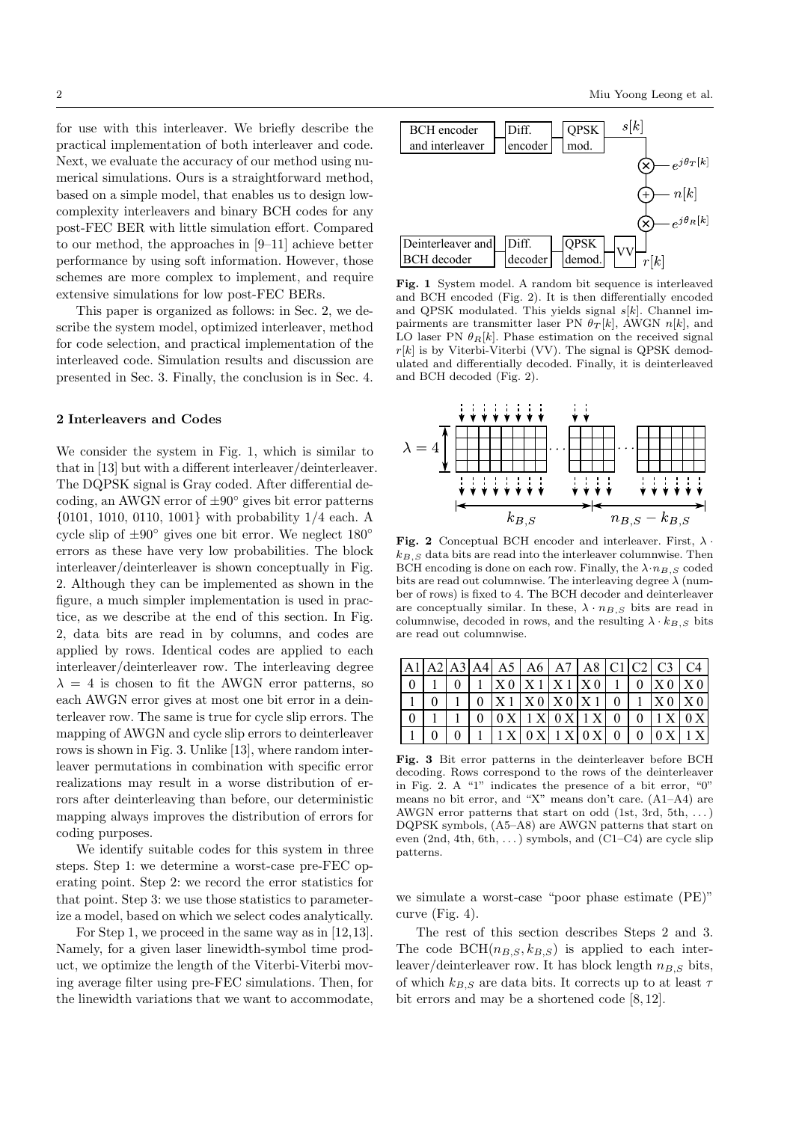for use with this interleaver. We briefly describe the practical implementation of both interleaver and code. Next, we evaluate the accuracy of our method using numerical simulations. Ours is a straightforward method, based on a simple model, that enables us to design lowcomplexity interleavers and binary BCH codes for any post-FEC BER with little simulation effort. Compared to our method, the approaches in [9–11] achieve better performance by using soft information. However, those schemes are more complex to implement, and require extensive simulations for low post-FEC BERs.

This paper is organized as follows: in Sec. 2, we describe the system model, optimized interleaver, method for code selection, and practical implementation of the interleaved code. Simulation results and discussion are presented in Sec. 3. Finally, the conclusion is in Sec. 4.

### 2 Interleavers and Codes

We consider the system in Fig. 1, which is similar to that in [13] but with a different interleaver/deinterleaver. The DQPSK signal is Gray coded. After differential decoding, an AWGN error of  $\pm 90^\circ$  gives bit error patterns {0101, 1010, 0110, 1001} with probability 1/4 each. A cycle slip of  $\pm 90^\circ$  gives one bit error. We neglect  $180^\circ$ errors as these have very low probabilities. The block interleaver/deinterleaver is shown conceptually in Fig. 2. Although they can be implemented as shown in the figure, a much simpler implementation is used in practice, as we describe at the end of this section. In Fig. 2, data bits are read in by columns, and codes are applied by rows. Identical codes are applied to each interleaver/deinterleaver row. The interleaving degree  $\lambda = 4$  is chosen to fit the AWGN error patterns, so each AWGN error gives at most one bit error in a deinterleaver row. The same is true for cycle slip errors. The mapping of AWGN and cycle slip errors to deinterleaver rows is shown in Fig. 3. Unlike [13], where random interleaver permutations in combination with specific error realizations may result in a worse distribution of errors after deinterleaving than before, our deterministic mapping always improves the distribution of errors for coding purposes.

We identify suitable codes for this system in three steps. Step 1: we determine a worst-case pre-FEC operating point. Step 2: we record the error statistics for that point. Step 3: we use those statistics to parameterize a model, based on which we select codes analytically.

For Step 1, we proceed in the same way as in [12,13]. Namely, for a given laser linewidth-symbol time product, we optimize the length of the Viterbi-Viterbi moving average filter using pre-FEC simulations. Then, for the linewidth variations that we want to accommodate,



Fig. 1 System model. A random bit sequence is interleaved and BCH encoded (Fig. 2). It is then differentially encoded and QPSK modulated. This yields signal  $s[k]$ . Channel impairments are transmitter laser PN  $\theta_T[k]$ , AWGN  $n[k]$ , and LO laser PN  $\theta_R[k]$ . Phase estimation on the received signal  $r[k]$  is by Viterbi-Viterbi (VV). The signal is QPSK demodulated and differentially decoded. Finally, it is deinterleaved and BCH decoded (Fig. 2).



Fig. 2 Conceptual BCH encoder and interleaver. First,  $\lambda$ .  $k_{B,S}$  data bits are read into the interleaver columnwise. Then BCH encoding is done on each row. Finally, the  $\lambda \cdot n_{B,S}$  coded bits are read out columnwise. The interleaving degree  $\lambda$  (number of rows) is fixed to 4. The BCH decoder and deinterleaver are conceptually similar. In these,  $\lambda \cdot n_{B,S}$  bits are read in columnwise, decoded in rows, and the resulting  $\lambda \cdot k_{B,S}$  bits are read out columnwise.

|  |  |                                 |  |  | A1 A2 A3 A4  A5   A6   A7   A8   C1   C2   C3   C4 |  |
|--|--|---------------------------------|--|--|----------------------------------------------------|--|
|  |  | 1  X0 X1 X1 X0 1                |  |  | $0$ $\mid$ X 0 $\mid$ X 0                          |  |
|  |  | $0$   X 1   X 0   X 0   X 1   0 |  |  | $1 \mid X0 \mid X0$                                |  |
|  |  | [0 X] 1 X] 0 X 1 X 0            |  |  | $0$   1 X   0 X                                    |  |
|  |  | 1 X   0 X   1 X   0 X   0       |  |  | $0 \mid 0 \times \mid 1 \times \mid$               |  |

Fig. 3 Bit error patterns in the deinterleaver before BCH decoding. Rows correspond to the rows of the deinterleaver in Fig. 2. A "1" indicates the presence of a bit error, "0" means no bit error, and "X" means don't care. (A1–A4) are AWGN error patterns that start on odd  $(1st, 3rd, 5th, ...)$ DQPSK symbols, (A5–A8) are AWGN patterns that start on even  $(2nd, 4th, 6th, ...)$  symbols, and  $(C1-C4)$  are cycle slip patterns.

we simulate a worst-case "poor phase estimate (PE)" curve (Fig. 4).

The rest of this section describes Steps 2 and 3. The code  $BCH(n_{B,S}, k_{B,S})$  is applied to each interleaver/deinterleaver row. It has block length  $n_{B,S}$  bits, of which  $k_{B,S}$  are data bits. It corrects up to at least  $\tau$ bit errors and may be a shortened code [8, 12].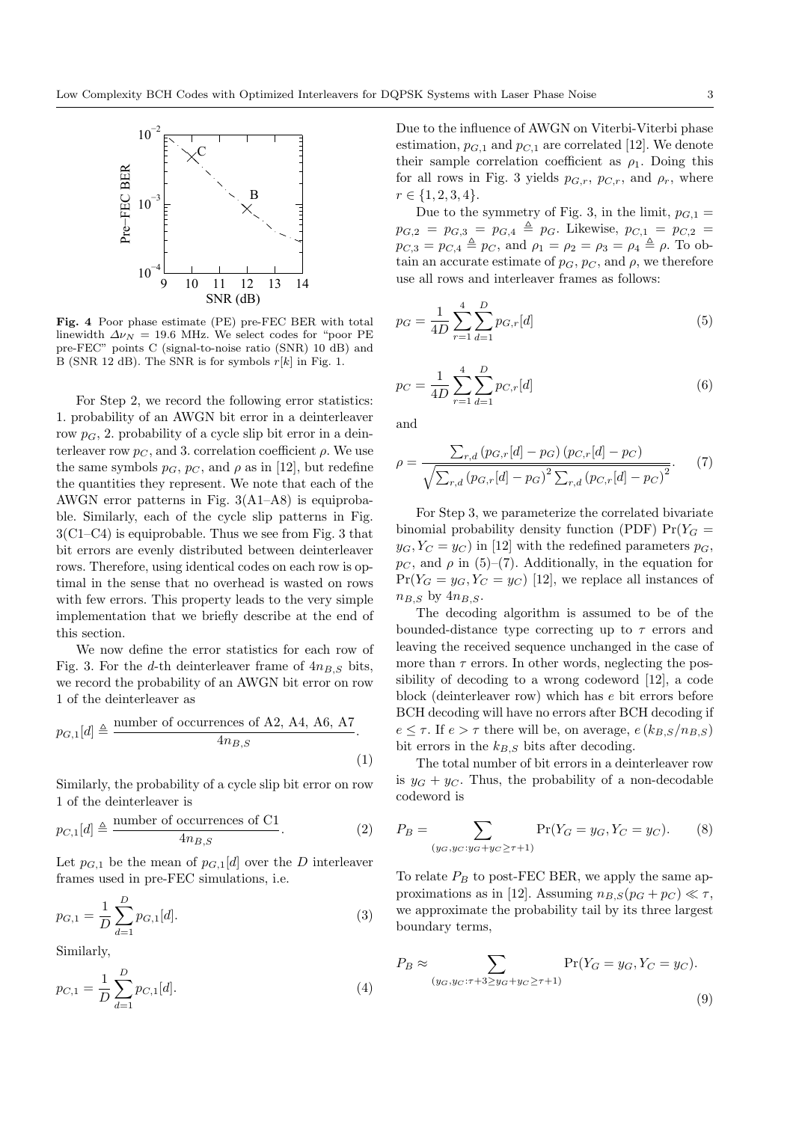

Fig. 4 Poor phase estimate (PE) pre-FEC BER with total linewidth  $\Delta \nu_N = 19.6$  MHz. We select codes for "poor PE pre-FEC" points C (signal-to-noise ratio (SNR) 10 dB) and B (SNR 12 dB). The SNR is for symbols  $r[k]$  in Fig. 1.

For Step 2, we record the following error statistics: 1. probability of an AWGN bit error in a deinterleaver row  $p<sub>G</sub>$ , 2. probability of a cycle slip bit error in a deinterleaver row  $p_C$ , and 3. correlation coefficient  $\rho$ . We use the same symbols  $p_G$ ,  $p_G$ , and  $\rho$  as in [12], but redefine the quantities they represent. We note that each of the AWGN error patterns in Fig. 3(A1–A8) is equiprobable. Similarly, each of the cycle slip patterns in Fig.  $3(C1-C4)$  is equiprobable. Thus we see from Fig. 3 that bit errors are evenly distributed between deinterleaver rows. Therefore, using identical codes on each row is optimal in the sense that no overhead is wasted on rows with few errors. This property leads to the very simple implementation that we briefly describe at the end of this section.

We now define the error statistics for each row of Fig. 3. For the d-th deinterleaver frame of  $4n_{B,S}$  bits, we record the probability of an AWGN bit error on row 1 of the deinterleaver as

$$
p_{G,1}[d] \triangleq \frac{\text{number of occurrences of A2, A4, A6, A7}}{4n_{B,S}}.
$$
\n(1)

Similarly, the probability of a cycle slip bit error on row 1 of the deinterleaver is

$$
p_{C,1}[d] \triangleq \frac{\text{number of occurrences of C1}}{4n_{B,S}}.\tag{2}
$$

Let  $p_{G,1}$  be the mean of  $p_{G,1}[d]$  over the D interleaver frames used in pre-FEC simulations, i.e.

$$
p_{G,1} = \frac{1}{D} \sum_{d=1}^{D} p_{G,1}[d].
$$
\n(3)

Similarly,

$$
p_{C,1} = \frac{1}{D} \sum_{d=1}^{D} p_{C,1}[d].
$$
\n(4)

Due to the influence of AWGN on Viterbi-Viterbi phase estimation,  $p_{G,1}$  and  $p_{G,1}$  are correlated [12]. We denote their sample correlation coefficient as  $\rho_1$ . Doing this for all rows in Fig. 3 yields  $p_{G,r}$ ,  $p_{C,r}$ , and  $\rho_r$ , where  $r \in \{1, 2, 3, 4\}.$ 

Due to the symmetry of Fig. 3, in the limit,  $p_{G,1} =$  $p_{G,2} = p_{G,3} = p_{G,4} \triangleq p_G$ . Likewise,  $p_{C,1} = p_{C,2}$  $p_{C,3} = p_{C,4} \triangleq p_C$ , and  $\rho_1 = \rho_2 = \rho_3 = \rho_4 \triangleq \rho$ . To obtain an accurate estimate of  $p_G$ ,  $p_C$ , and  $\rho$ , we therefore use all rows and interleaver frames as follows:

$$
p_G = \frac{1}{4D} \sum_{r=1}^{4} \sum_{d=1}^{D} p_{G,r}[d]
$$
 (5)

$$
p_C = \frac{1}{4D} \sum_{r=1}^{4} \sum_{d=1}^{D} p_{C,r}[d]
$$
 (6)

and

$$
\rho = \frac{\sum_{r,d} (p_{G,r}[d] - p_G) (p_{C,r}[d] - p_C)}{\sqrt{\sum_{r,d} (p_{G,r}[d] - p_G)^2 \sum_{r,d} (p_{C,r}[d] - p_C)^2}}.
$$
(7)

For Step 3, we parameterize the correlated bivariate binomial probability density function (PDF)  $Pr(Y_G =$  $y_G, Y_C = y_C$  in [12] with the redefined parameters  $p_G$ ,  $p_{C}$ , and  $\rho$  in (5)–(7). Additionally, in the equation for  $Pr(Y_G = y_G, Y_C = y_C)$  [12], we replace all instances of  $n_{B,S}$  by  $4n_{B,S}$ .

The decoding algorithm is assumed to be of the bounded-distance type correcting up to  $\tau$  errors and leaving the received sequence unchanged in the case of more than  $\tau$  errors. In other words, neglecting the possibility of decoding to a wrong codeword [12], a code block (deinterleaver row) which has e bit errors before BCH decoding will have no errors after BCH decoding if  $e \leq \tau$ . If  $e > \tau$  there will be, on average,  $e(k_{B,S}/n_{B,S})$ bit errors in the  $k_{B,S}$  bits after decoding.

The total number of bit errors in a deinterleaver row is  $y_G + y_C$ . Thus, the probability of a non-decodable codeword is

$$
P_B = \sum_{(y_G, y_G: y_G + y_C \ge \tau + 1)} \Pr(Y_G = y_G, Y_C = y_C). \tag{8}
$$

To relate  $P_B$  to post-FEC BER, we apply the same approximations as in [12]. Assuming  $n_{B,S}(p_G + p_C) \ll \tau$ , we approximate the probability tail by its three largest boundary terms,

$$
P_B \approx \sum_{(y_G, y_C: \tau + 3 \ge y_G + y_C \ge \tau + 1)} \Pr(Y_G = y_G, Y_C = y_C).
$$
\n(9)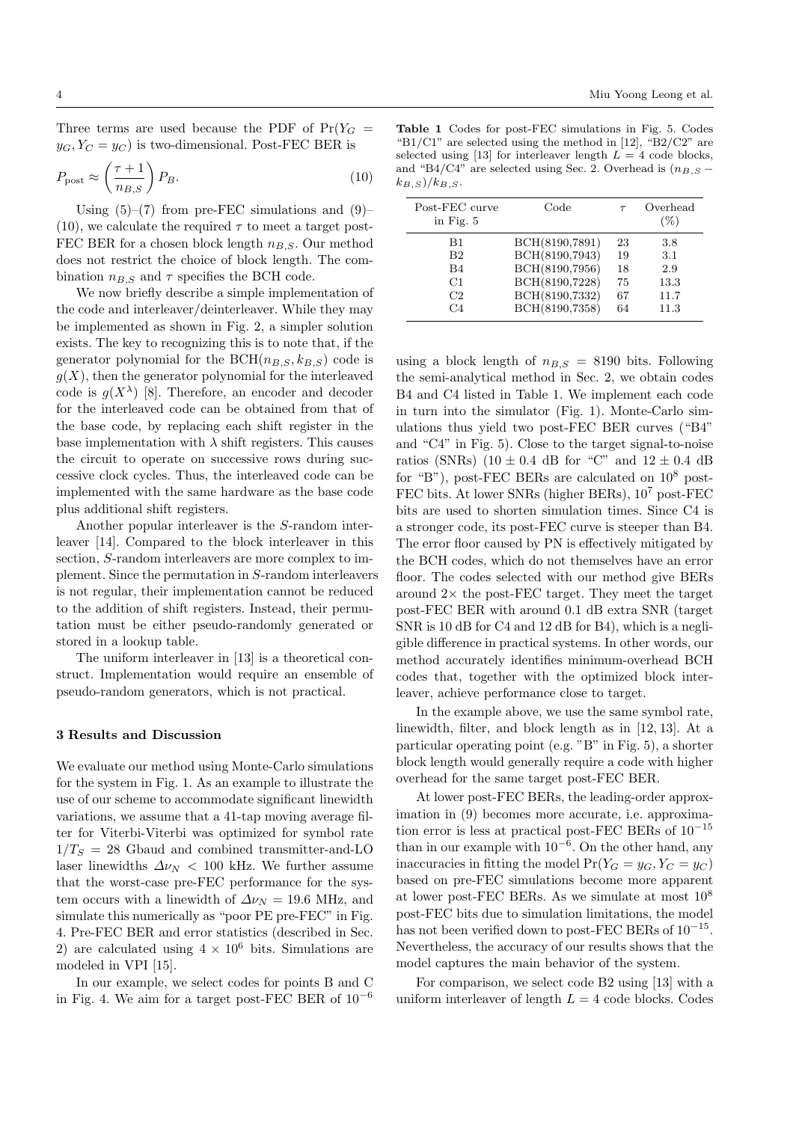Three terms are used because the PDF of  $Pr(Y_G =$  $y_G, Y_C = y_C$  is two-dimensional. Post-FEC BER is

$$
P_{\text{post}} \approx \left(\frac{\tau + 1}{n_{B,S}}\right) P_B. \tag{10}
$$

Using (5)–(7) from pre-FEC simulations and (9)– (10), we calculate the required  $\tau$  to meet a target post-FEC BER for a chosen block length  $n_{B,S}$ . Our method does not restrict the choice of block length. The combination  $n_{B,S}$  and  $\tau$  specifies the BCH code.

We now briefly describe a simple implementation of the code and interleaver/deinterleaver. While they may be implemented as shown in Fig. 2, a simpler solution exists. The key to recognizing this is to note that, if the generator polynomial for the BCH( $n_{B,S}, k_{B,S}$ ) code is  $g(X)$ , then the generator polynomial for the interleaved code is  $g(X^{\lambda})$  [8]. Therefore, an encoder and decoder for the interleaved code can be obtained from that of the base code, by replacing each shift register in the base implementation with  $\lambda$  shift registers. This causes the circuit to operate on successive rows during successive clock cycles. Thus, the interleaved code can be implemented with the same hardware as the base code plus additional shift registers.

Another popular interleaver is the S-random interleaver [14]. Compared to the block interleaver in this section, S-random interleavers are more complex to implement. Since the permutation in S-random interleavers is not regular, their implementation cannot be reduced to the addition of shift registers. Instead, their permutation must be either pseudo-randomly generated or stored in a lookup table.

The uniform interleaver in [13] is a theoretical construct. Implementation would require an ensemble of pseudo-random generators, which is not practical.

#### 3 Results and Discussion

We evaluate our method using Monte-Carlo simulations for the system in Fig. 1. As an example to illustrate the use of our scheme to accommodate significant linewidth variations, we assume that a 41-tap moving average filter for Viterbi-Viterbi was optimized for symbol rate  $1/T_S = 28$  Gbaud and combined transmitter-and-LO laser linewidths  $\Delta \nu_N$  < 100 kHz. We further assume that the worst-case pre-FEC performance for the system occurs with a linewidth of  $\Delta \nu_N = 19.6$  MHz, and simulate this numerically as "poor PE pre-FEC" in Fig. 4. Pre-FEC BER and error statistics (described in Sec. 2) are calculated using  $4 \times 10^6$  bits. Simulations are modeled in VPI [15].

In our example, we select codes for points B and C in Fig. 4. We aim for a target post-FEC BER of  $10^{-6}$ 

Table 1 Codes for post-FEC simulations in Fig. 5. Codes "B1/C1" are selected using the method in [12], "B2/C2" are selected using [13] for interleaver length  $L = 4$  code blocks, and "B4/C4" are selected using Sec. 2. Overhead is  $(n_{B,S} (k_{B,S})/k_{B,S}.$ 

| Post-FEC curve<br>in Fig. $5$ | Code           |    | Overhead<br>$(\%)$ |
|-------------------------------|----------------|----|--------------------|
| B1                            | BCH(8190,7891) | 23 | 3.8                |
| B <sub>2</sub>                | BCH(8190,7943) | 19 | 3.1                |
| B4                            | BCH(8190,7956) | 18 | 2.9                |
| C1                            | BCH(8190,7228) | 75 | 13.3               |
| C2                            | BCH(8190,7332) | 67 | 11.7               |
| C4                            | BCH(8190,7358) | 64 | 11.3               |

using a block length of  $n_{B,S} = 8190$  bits. Following the semi-analytical method in Sec. 2, we obtain codes B4 and C4 listed in Table 1. We implement each code in turn into the simulator (Fig. 1). Monte-Carlo simulations thus yield two post-FEC BER curves ("B4" and "C4" in Fig. 5). Close to the target signal-to-noise ratios (SNRs) (10  $\pm$  0.4 dB for "C" and 12  $\pm$  0.4 dB for "B"), post-FEC BERs are calculated on  $10^8$  post-FEC bits. At lower SNRs (higher BERs), 10<sup>7</sup> post-FEC bits are used to shorten simulation times. Since C4 is a stronger code, its post-FEC curve is steeper than B4. The error floor caused by PN is effectively mitigated by the BCH codes, which do not themselves have an error floor. The codes selected with our method give BERs around  $2\times$  the post-FEC target. They meet the target post-FEC BER with around 0.1 dB extra SNR (target SNR is 10 dB for C4 and 12 dB for B4), which is a negligible difference in practical systems. In other words, our method accurately identifies minimum-overhead BCH codes that, together with the optimized block interleaver, achieve performance close to target.

In the example above, we use the same symbol rate, linewidth, filter, and block length as in [12, 13]. At a particular operating point (e.g. "B" in Fig. 5), a shorter block length would generally require a code with higher overhead for the same target post-FEC BER.

At lower post-FEC BERs, the leading-order approximation in (9) becomes more accurate, i.e. approximation error is less at practical post-FEC BERs of 10−<sup>15</sup> than in our example with  $10^{-6}$ . On the other hand, any inaccuracies in fitting the model  $Pr(Y_G = y_G, Y_C = y_C)$ based on pre-FEC simulations become more apparent at lower post-FEC BERs. As we simulate at most 10<sup>8</sup> post-FEC bits due to simulation limitations, the model has not been verified down to post-FEC BERs of 10−<sup>15</sup> . Nevertheless, the accuracy of our results shows that the model captures the main behavior of the system.

For comparison, we select code B2 using [13] with a uniform interleaver of length  $L = 4$  code blocks. Codes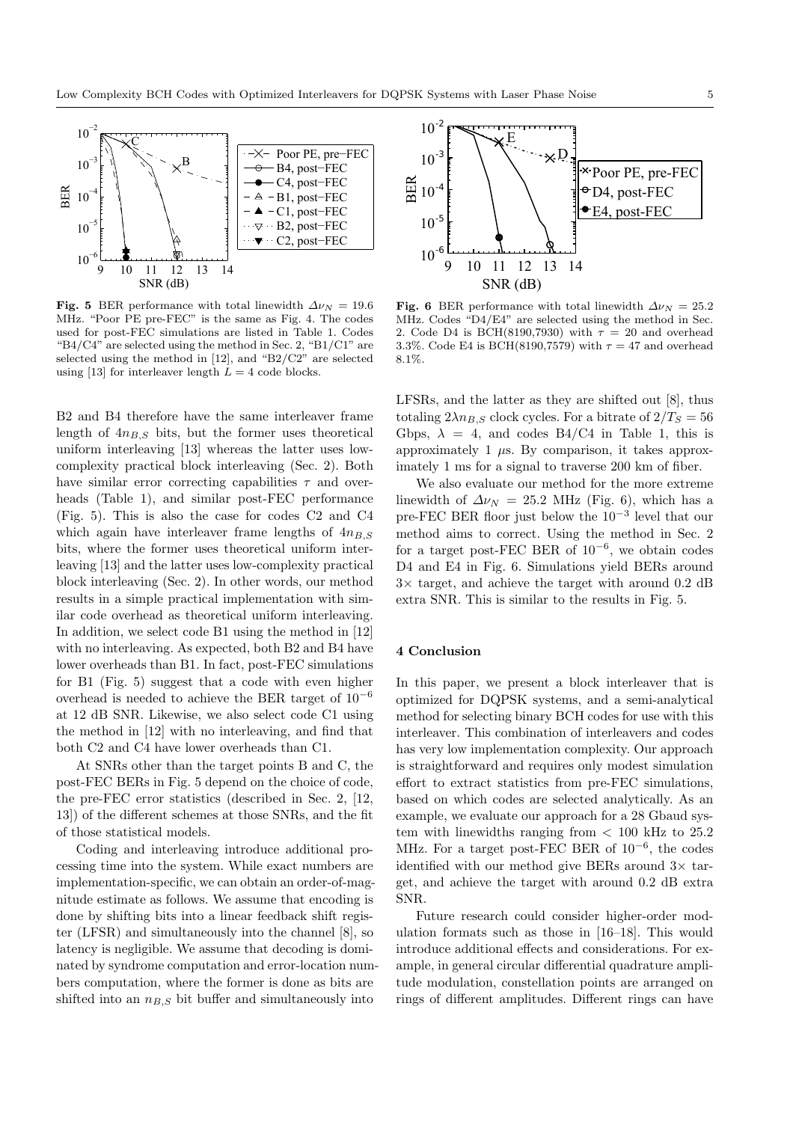

Fig. 5 BER performance with total linewidth  $\Delta \nu_N = 19.6$ MHz. "Poor PE pre-FEC" is the same as Fig. 4. The codes used for post-FEC simulations are listed in Table 1. Codes "B4/C4" are selected using the method in Sec. 2, "B1/C1" are selected using the method in [12], and "B2/C2" are selected using [13] for interleaver length  $L = 4$  code blocks.

B2 and B4 therefore have the same interleaver frame length of  $4n_{B,S}$  bits, but the former uses theoretical uniform interleaving [13] whereas the latter uses lowcomplexity practical block interleaving (Sec. 2). Both have similar error correcting capabilities  $\tau$  and overheads (Table 1), and similar post-FEC performance (Fig. 5). This is also the case for codes C2 and C4 which again have interleaver frame lengths of  $4n_{B,S}$ bits, where the former uses theoretical uniform interleaving [13] and the latter uses low-complexity practical block interleaving (Sec. 2). In other words, our method results in a simple practical implementation with similar code overhead as theoretical uniform interleaving. In addition, we select code B1 using the method in [12] with no interleaving. As expected, both B2 and B4 have lower overheads than B1. In fact, post-FEC simulations for B1 (Fig. 5) suggest that a code with even higher overhead is needed to achieve the BER target of 10<sup>−</sup><sup>6</sup> at 12 dB SNR. Likewise, we also select code C1 using the method in [12] with no interleaving, and find that both C2 and C4 have lower overheads than C1.

At SNRs other than the target points B and C, the post-FEC BERs in Fig. 5 depend on the choice of code, the pre-FEC error statistics (described in Sec. 2, [12, 13]) of the different schemes at those SNRs, and the fit of those statistical models.

Coding and interleaving introduce additional processing time into the system. While exact numbers are implementation-specific, we can obtain an order-of-magnitude estimate as follows. We assume that encoding is done by shifting bits into a linear feedback shift register (LFSR) and simultaneously into the channel [8], so latency is negligible. We assume that decoding is dominated by syndrome computation and error-location numbers computation, where the former is done as bits are shifted into an  $n_{B,S}$  bit buffer and simultaneously into



Fig. 6 BER performance with total linewidth  $\Delta \nu_N = 25.2$ MHz. Codes "D4/E4" are selected using the method in Sec. 2. Code D4 is BCH(8190,7930) with  $\tau = 20$  and overhead 3.3%. Code E4 is BCH(8190,7579) with  $\tau = 47$  and overhead 8.1%.

LFSRs, and the latter as they are shifted out [8], thus totaling  $2\lambda n_{B,S}$  clock cycles. For a bitrate of  $2/T_S = 56$ Gbps,  $\lambda = 4$ , and codes B4/C4 in Table 1, this is approximately 1  $\mu$ s. By comparison, it takes approximately 1 ms for a signal to traverse 200 km of fiber.

We also evaluate our method for the more extreme linewidth of  $\Delta \nu_N = 25.2$  MHz (Fig. 6), which has a pre-FEC BER floor just below the 10<sup>−</sup><sup>3</sup> level that our method aims to correct. Using the method in Sec. 2 for a target post-FEC BER of  $10^{-6}$ , we obtain codes D4 and E4 in Fig. 6. Simulations yield BERs around  $3\times$  target, and achieve the target with around 0.2 dB extra SNR. This is similar to the results in Fig. 5.

# 4 Conclusion

In this paper, we present a block interleaver that is optimized for DQPSK systems, and a semi-analytical method for selecting binary BCH codes for use with this interleaver. This combination of interleavers and codes has very low implementation complexity. Our approach is straightforward and requires only modest simulation effort to extract statistics from pre-FEC simulations, based on which codes are selected analytically. As an example, we evaluate our approach for a 28 Gbaud system with linewidths ranging from  $< 100$  kHz to  $25.2$ MHz. For a target post-FEC BER of  $10^{-6}$ , the codes identified with our method give BERs around  $3\times$  target, and achieve the target with around 0.2 dB extra SNR.

Future research could consider higher-order modulation formats such as those in [16–18]. This would introduce additional effects and considerations. For example, in general circular differential quadrature amplitude modulation, constellation points are arranged on rings of different amplitudes. Different rings can have